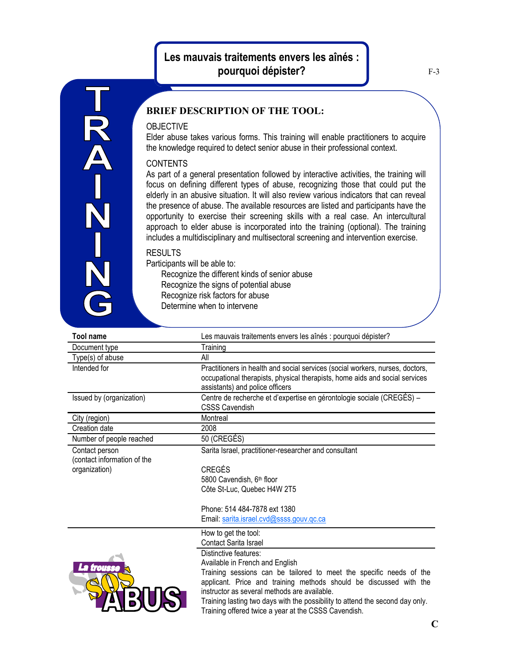## **Les mauvais traitements envers les aînés : pourquoi dépister?**

## **BRIEF DESCRIPTION OF THE TOOL:**

## **OBJECTIVE**

T<br>A<br>A

Elder abuse takes various forms. This training will enable practitioners to acquire the knowledge required to detect senior abuse in their professional context.

## **CONTENTS**

As part of a general presentation followed by interactive activities, the training will focus on defining different types of abuse, recognizing those that could put the elderly in an abusive situation. It will also review various indicators that can reveal the presence of abuse. The available resources are listed and participants have the opportunity to exercise their screening skills with a real case. An intercultural approach to elder abuse is incorporated into the training (optional). The training includes a multidisciplinary and multisectoral screening and intervention exercise.

RESULTS

Participants will be able to: Recognize the different kinds of senior abuse Recognize the signs of potential abuse Recognize risk factors for abuse Determine when to intervene

| <b>Tool name</b>                              | Les mauvais traitements envers les aînés : pourquoi dépister?                                                                                                                                   |
|-----------------------------------------------|-------------------------------------------------------------------------------------------------------------------------------------------------------------------------------------------------|
| Document type                                 | Training                                                                                                                                                                                        |
| Type(s) of abuse                              | All                                                                                                                                                                                             |
| Intended for                                  | Practitioners in health and social services (social workers, nurses, doctors,<br>occupational therapists, physical therapists, home aids and social services<br>assistants) and police officers |
| Issued by (organization)                      | Centre de recherche et d'expertise en gérontologie sociale (CREGÉS) –<br><b>CSSS Cavendish</b>                                                                                                  |
| City (region)                                 | Montreal                                                                                                                                                                                        |
| Creation date                                 | 2008                                                                                                                                                                                            |
| Number of people reached                      | 50 (CREGÉS)                                                                                                                                                                                     |
| Contact person<br>(contact information of the | Sarita Israel, practitioner-researcher and consultant                                                                                                                                           |
| organization)                                 | <b>CREGÉS</b>                                                                                                                                                                                   |
|                                               | 5800 Cavendish, 6 <sup>th</sup> floor                                                                                                                                                           |
|                                               | Côte St-Luc, Quebec H4W 2T5                                                                                                                                                                     |
|                                               | Phone: 514 484-7878 ext 1380                                                                                                                                                                    |
|                                               | Email: sarita.israel.cvd@ssss.gouv.gc.ca                                                                                                                                                        |
|                                               | How to get the tool:                                                                                                                                                                            |
|                                               | <b>Contact Sarita Israel</b>                                                                                                                                                                    |
| a milli                                       | Distinctive features:                                                                                                                                                                           |



Available in French and English Training sessions can be tailored to meet the specific needs of the applicant. Price and training methods should be discussed with the instructor as several methods are available.

Training lasting two days with the possibility to attend the second day only. Training offered twice a year at the CSSS Cavendish.